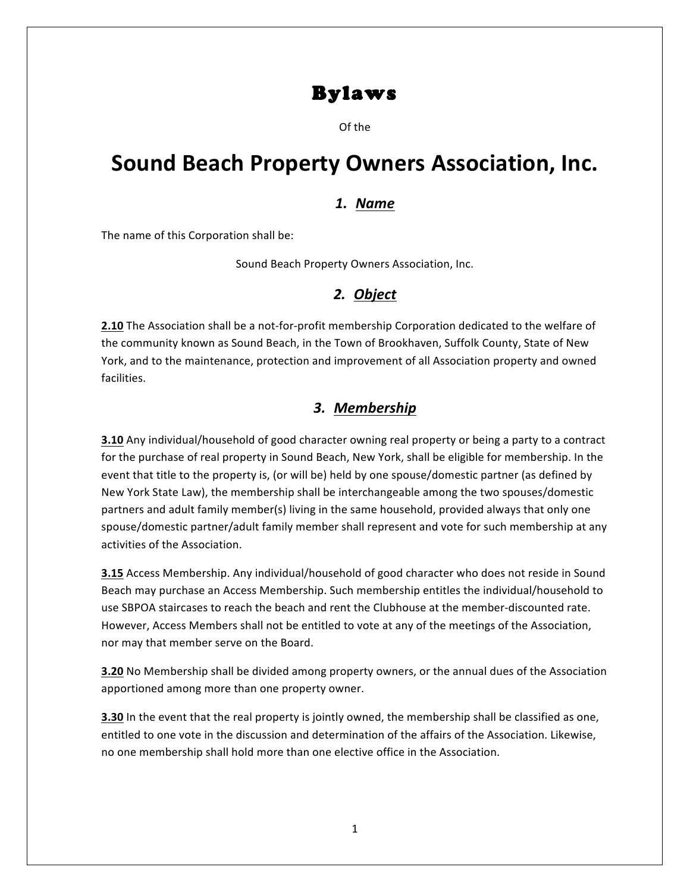## Bylaws

Of the

# **Sound Beach Property Owners Association, Inc.**

#### *1. Name*

The name of this Corporation shall be:

Sound Beach Property Owners Association, Inc.

## *2. Object*

**2.10** The Association shall be a not-for-profit membership Corporation dedicated to the welfare of the community known as Sound Beach, in the Town of Brookhaven, Suffolk County, State of New York, and to the maintenance, protection and improvement of all Association property and owned facilities.

## *3. Membership*

**3.10** Any individual/household of good character owning real property or being a party to a contract for the purchase of real property in Sound Beach, New York, shall be eligible for membership. In the event that title to the property is, (or will be) held by one spouse/domestic partner (as defined by New York State Law), the membership shall be interchangeable among the two spouses/domestic partners and adult family member(s) living in the same household, provided always that only one spouse/domestic partner/adult family member shall represent and vote for such membership at any activities of the Association.

**3.15** Access Membership. Any individual/household of good character who does not reside in Sound Beach may purchase an Access Membership. Such membership entitles the individual/household to use SBPOA staircases to reach the beach and rent the Clubhouse at the member-discounted rate. However, Access Members shall not be entitled to vote at any of the meetings of the Association, nor may that member serve on the Board.

**3.20** No Membership shall be divided among property owners, or the annual dues of the Association apportioned among more than one property owner.

**3.30** In the event that the real property is jointly owned, the membership shall be classified as one, entitled to one vote in the discussion and determination of the affairs of the Association. Likewise, no one membership shall hold more than one elective office in the Association.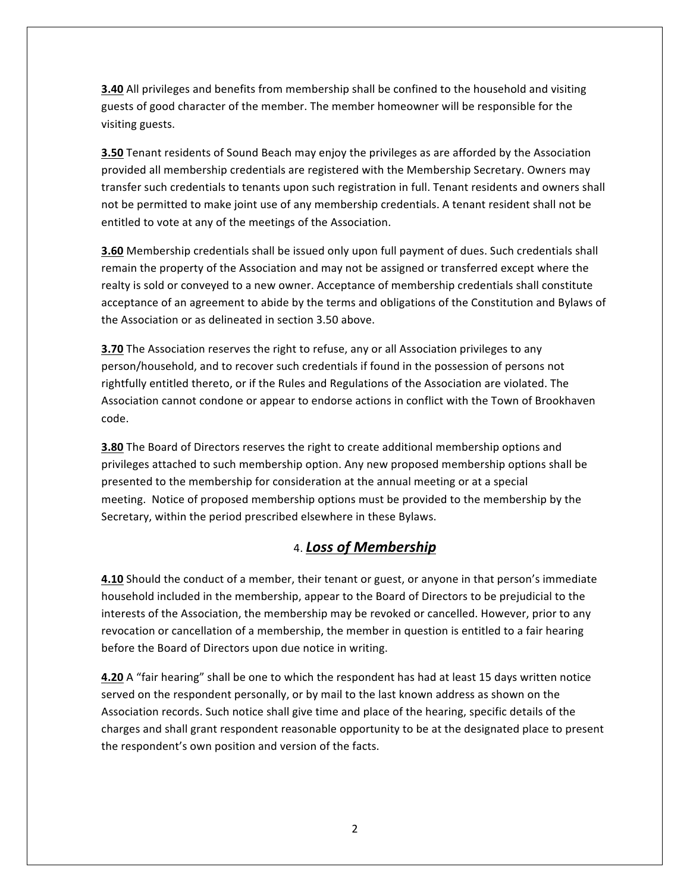**3.40** All privileges and benefits from membership shall be confined to the household and visiting guests of good character of the member. The member homeowner will be responsible for the visiting guests.

**3.50** Tenant residents of Sound Beach may enjoy the privileges as are afforded by the Association provided all membership credentials are registered with the Membership Secretary. Owners may transfer such credentials to tenants upon such registration in full. Tenant residents and owners shall not be permitted to make joint use of any membership credentials. A tenant resident shall not be entitled to vote at any of the meetings of the Association.

**3.60** Membership credentials shall be issued only upon full payment of dues. Such credentials shall remain the property of the Association and may not be assigned or transferred except where the realty is sold or conveyed to a new owner. Acceptance of membership credentials shall constitute acceptance of an agreement to abide by the terms and obligations of the Constitution and Bylaws of the Association or as delineated in section 3.50 above.

**3.70** The Association reserves the right to refuse, any or all Association privileges to any person/household, and to recover such credentials if found in the possession of persons not rightfully entitled thereto, or if the Rules and Regulations of the Association are violated. The Association cannot condone or appear to endorse actions in conflict with the Town of Brookhaven code.

**3.80** The Board of Directors reserves the right to create additional membership options and privileges attached to such membership option. Any new proposed membership options shall be presented to the membership for consideration at the annual meeting or at a special meeting. Notice of proposed membership options must be provided to the membership by the Secretary, within the period prescribed elsewhere in these Bylaws.

## 4. *Loss of Membership*

**4.10** Should the conduct of a member, their tenant or guest, or anyone in that person's immediate household included in the membership, appear to the Board of Directors to be prejudicial to the interests of the Association, the membership may be revoked or cancelled. However, prior to any revocation or cancellation of a membership, the member in question is entitled to a fair hearing before the Board of Directors upon due notice in writing.

**4.20** A "fair hearing" shall be one to which the respondent has had at least 15 days written notice served on the respondent personally, or by mail to the last known address as shown on the Association records. Such notice shall give time and place of the hearing, specific details of the charges and shall grant respondent reasonable opportunity to be at the designated place to present the respondent's own position and version of the facts.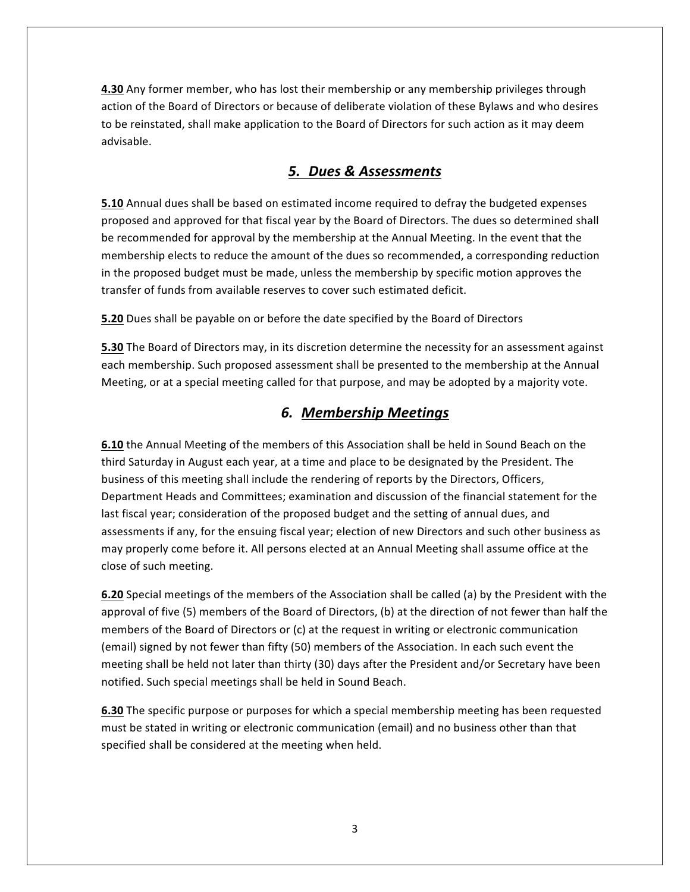**4.30** Any former member, who has lost their membership or any membership privileges through action of the Board of Directors or because of deliberate violation of these Bylaws and who desires to be reinstated, shall make application to the Board of Directors for such action as it may deem advisable.

## *5. Dues & Assessments*

**5.10** Annual dues shall be based on estimated income required to defray the budgeted expenses proposed and approved for that fiscal year by the Board of Directors. The dues so determined shall be recommended for approval by the membership at the Annual Meeting. In the event that the membership elects to reduce the amount of the dues so recommended, a corresponding reduction in the proposed budget must be made, unless the membership by specific motion approves the transfer of funds from available reserves to cover such estimated deficit.

**5.20** Dues shall be payable on or before the date specified by the Board of Directors

**5.30** The Board of Directors may, in its discretion determine the necessity for an assessment against each membership. Such proposed assessment shall be presented to the membership at the Annual Meeting, or at a special meeting called for that purpose, and may be adopted by a majority vote.

#### *6. Membership Meetings*

**6.10** the Annual Meeting of the members of this Association shall be held in Sound Beach on the third Saturday in August each year, at a time and place to be designated by the President. The business of this meeting shall include the rendering of reports by the Directors, Officers, Department Heads and Committees; examination and discussion of the financial statement for the last fiscal year; consideration of the proposed budget and the setting of annual dues, and assessments if any, for the ensuing fiscal year; election of new Directors and such other business as may properly come before it. All persons elected at an Annual Meeting shall assume office at the close of such meeting.

**6.20** Special meetings of the members of the Association shall be called (a) by the President with the approval of five (5) members of the Board of Directors, (b) at the direction of not fewer than half the members of the Board of Directors or  $(c)$  at the request in writing or electronic communication (email) signed by not fewer than fifty (50) members of the Association. In each such event the meeting shall be held not later than thirty (30) days after the President and/or Secretary have been notified. Such special meetings shall be held in Sound Beach.

**6.30** The specific purpose or purposes for which a special membership meeting has been requested must be stated in writing or electronic communication (email) and no business other than that specified shall be considered at the meeting when held.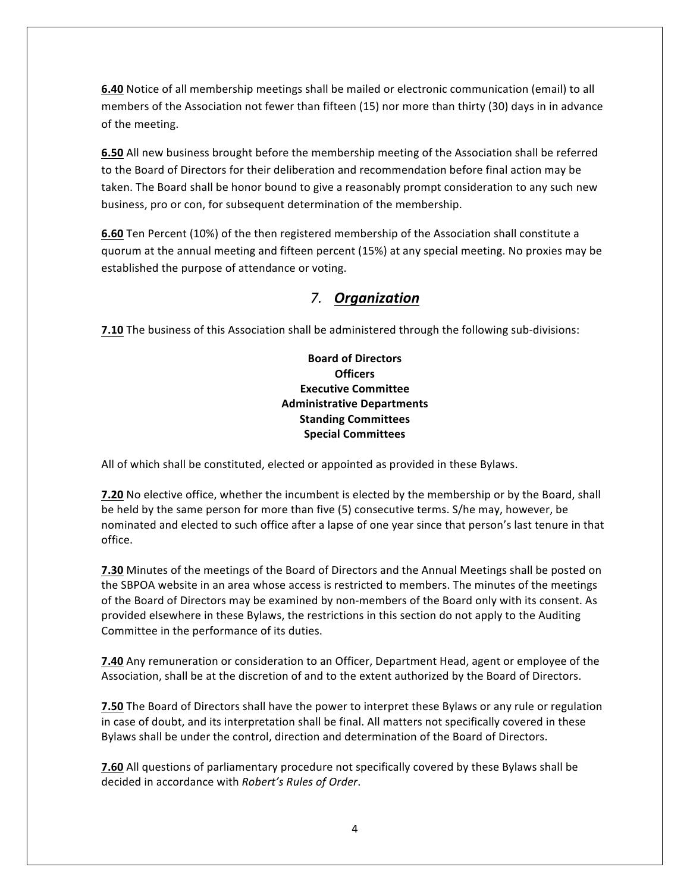**6.40** Notice of all membership meetings shall be mailed or electronic communication (email) to all members of the Association not fewer than fifteen  $(15)$  nor more than thirty  $(30)$  days in in advance of the meeting.

**6.50** All new business brought before the membership meeting of the Association shall be referred to the Board of Directors for their deliberation and recommendation before final action may be taken. The Board shall be honor bound to give a reasonably prompt consideration to any such new business, pro or con, for subsequent determination of the membership.

**6.60** Ten Percent (10%) of the then registered membership of the Association shall constitute a quorum at the annual meeting and fifteen percent (15%) at any special meeting. No proxies may be established the purpose of attendance or voting.

## *7. Organization*

**7.10** The business of this Association shall be administered through the following sub-divisions:

#### **Board of Directors Officers Executive Committee Administrative Departments Standing Committees Special Committees**

All of which shall be constituted, elected or appointed as provided in these Bylaws.

**7.20** No elective office, whether the incumbent is elected by the membership or by the Board, shall be held by the same person for more than five (5) consecutive terms. S/he may, however, be nominated and elected to such office after a lapse of one year since that person's last tenure in that office.

**7.30** Minutes of the meetings of the Board of Directors and the Annual Meetings shall be posted on the SBPOA website in an area whose access is restricted to members. The minutes of the meetings of the Board of Directors may be examined by non-members of the Board only with its consent. As provided elsewhere in these Bylaws, the restrictions in this section do not apply to the Auditing Committee in the performance of its duties.

**7.40** Any remuneration or consideration to an Officer, Department Head, agent or employee of the Association, shall be at the discretion of and to the extent authorized by the Board of Directors.

**7.50** The Board of Directors shall have the power to interpret these Bylaws or any rule or regulation in case of doubt, and its interpretation shall be final. All matters not specifically covered in these Bylaws shall be under the control, direction and determination of the Board of Directors.

**7.60** All questions of parliamentary procedure not specifically covered by these Bylaws shall be decided in accordance with *Robert's Rules of Order*.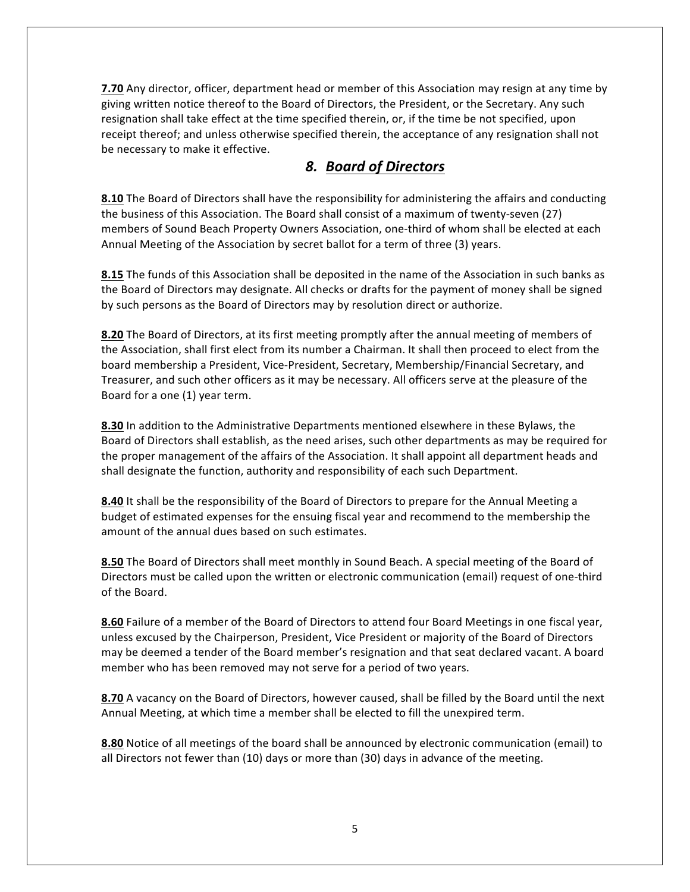**7.70** Any director, officer, department head or member of this Association may resign at any time by giving written notice thereof to the Board of Directors, the President, or the Secretary. Any such resignation shall take effect at the time specified therein, or, if the time be not specified, upon receipt thereof; and unless otherwise specified therein, the acceptance of any resignation shall not be necessary to make it effective.

## *8. Board of Directors*

**8.10** The Board of Directors shall have the responsibility for administering the affairs and conducting the business of this Association. The Board shall consist of a maximum of twenty-seven (27) members of Sound Beach Property Owners Association, one-third of whom shall be elected at each Annual Meeting of the Association by secret ballot for a term of three (3) years.

**8.15** The funds of this Association shall be deposited in the name of the Association in such banks as the Board of Directors may designate. All checks or drafts for the payment of money shall be signed by such persons as the Board of Directors may by resolution direct or authorize.

**8.20** The Board of Directors, at its first meeting promptly after the annual meeting of members of the Association, shall first elect from its number a Chairman. It shall then proceed to elect from the board membership a President, Vice-President, Secretary, Membership/Financial Secretary, and Treasurer, and such other officers as it may be necessary. All officers serve at the pleasure of the Board for a one (1) year term.

**8.30** In addition to the Administrative Departments mentioned elsewhere in these Bylaws, the Board of Directors shall establish, as the need arises, such other departments as may be required for the proper management of the affairs of the Association. It shall appoint all department heads and shall designate the function, authority and responsibility of each such Department.

**8.40** It shall be the responsibility of the Board of Directors to prepare for the Annual Meeting a budget of estimated expenses for the ensuing fiscal year and recommend to the membership the amount of the annual dues based on such estimates.

8.50 The Board of Directors shall meet monthly in Sound Beach. A special meeting of the Board of Directors must be called upon the written or electronic communication (email) request of one-third of the Board.

**8.60** Failure of a member of the Board of Directors to attend four Board Meetings in one fiscal year, unless excused by the Chairperson, President, Vice President or majority of the Board of Directors may be deemed a tender of the Board member's resignation and that seat declared vacant. A board member who has been removed may not serve for a period of two years.

**8.70** A vacancy on the Board of Directors, however caused, shall be filled by the Board until the next Annual Meeting, at which time a member shall be elected to fill the unexpired term.

**8.80** Notice of all meetings of the board shall be announced by electronic communication (email) to all Directors not fewer than (10) days or more than (30) days in advance of the meeting.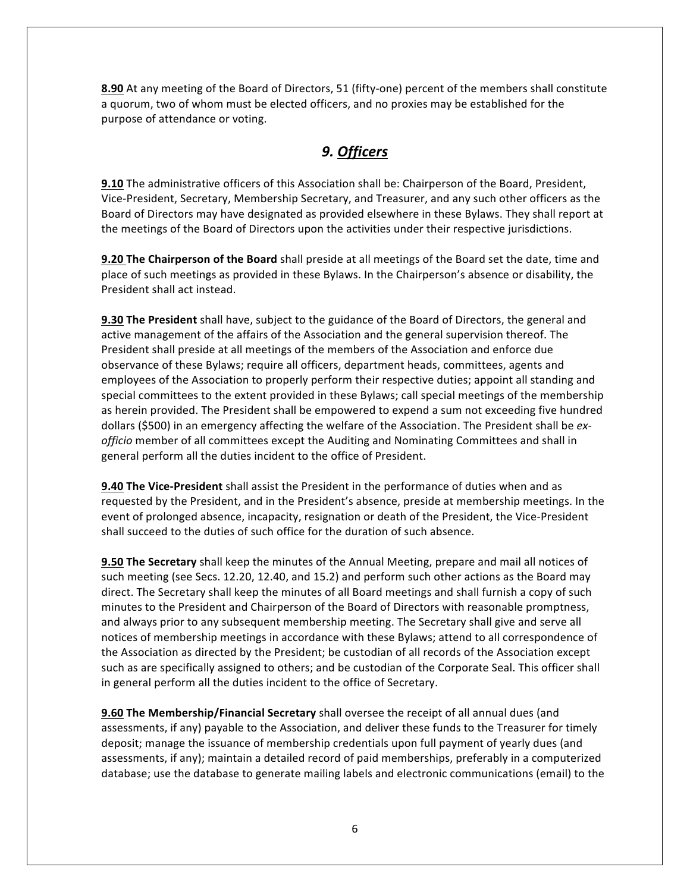**8.90** At any meeting of the Board of Directors, 51 (fifty-one) percent of the members shall constitute a quorum, two of whom must be elected officers, and no proxies may be established for the purpose of attendance or voting.

## *9. Officers*

**9.10** The administrative officers of this Association shall be: Chairperson of the Board, President, Vice-President, Secretary, Membership Secretary, and Treasurer, and any such other officers as the Board of Directors may have designated as provided elsewhere in these Bylaws. They shall report at the meetings of the Board of Directors upon the activities under their respective jurisdictions.

**9.20** The Chairperson of the Board shall preside at all meetings of the Board set the date, time and place of such meetings as provided in these Bylaws. In the Chairperson's absence or disability, the President shall act instead.

**9.30 The President** shall have, subject to the guidance of the Board of Directors, the general and active management of the affairs of the Association and the general supervision thereof. The President shall preside at all meetings of the members of the Association and enforce due observance of these Bylaws; require all officers, department heads, committees, agents and employees of the Association to properly perform their respective duties; appoint all standing and special committees to the extent provided in these Bylaws; call special meetings of the membership as herein provided. The President shall be empowered to expend a sum not exceeding five hundred dollars (\$500) in an emergency affecting the welfare of the Association. The President shall be exofficio member of all committees except the Auditing and Nominating Committees and shall in general perform all the duties incident to the office of President.

**9.40 The Vice-President** shall assist the President in the performance of duties when and as requested by the President, and in the President's absence, preside at membership meetings. In the event of prolonged absence, incapacity, resignation or death of the President, the Vice-President shall succeed to the duties of such office for the duration of such absence.

**9.50** The Secretary shall keep the minutes of the Annual Meeting, prepare and mail all notices of such meeting (see Secs. 12.20, 12.40, and 15.2) and perform such other actions as the Board may direct. The Secretary shall keep the minutes of all Board meetings and shall furnish a copy of such minutes to the President and Chairperson of the Board of Directors with reasonable promptness, and always prior to any subsequent membership meeting. The Secretary shall give and serve all notices of membership meetings in accordance with these Bylaws; attend to all correspondence of the Association as directed by the President; be custodian of all records of the Association except such as are specifically assigned to others; and be custodian of the Corporate Seal. This officer shall in general perform all the duties incident to the office of Secretary.

**9.60 The Membership/Financial Secretary** shall oversee the receipt of all annual dues (and assessments, if any) payable to the Association, and deliver these funds to the Treasurer for timely deposit; manage the issuance of membership credentials upon full payment of yearly dues (and assessments, if any); maintain a detailed record of paid memberships, preferably in a computerized database; use the database to generate mailing labels and electronic communications (email) to the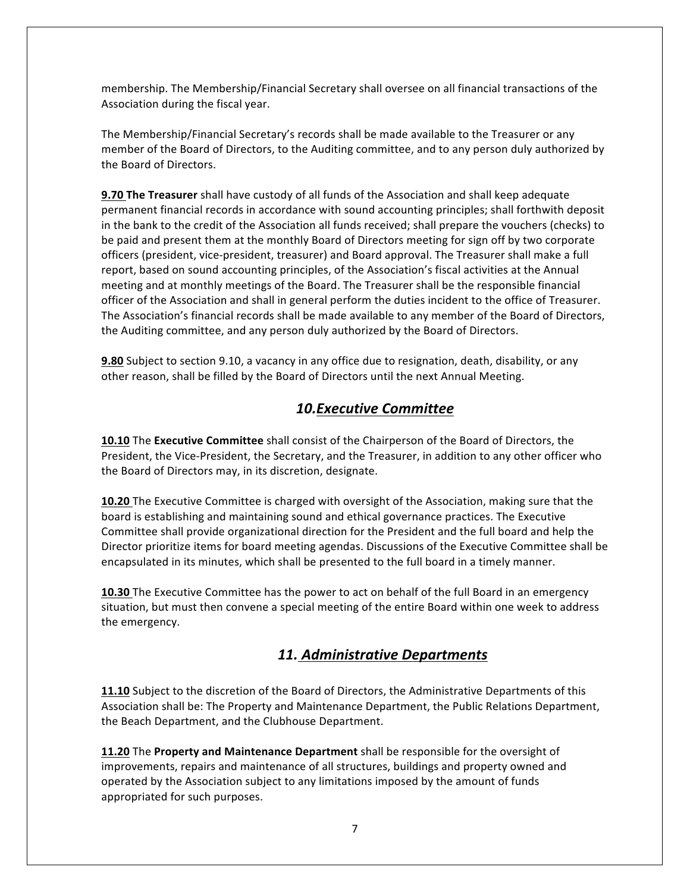membership. The Membership/Financial Secretary shall oversee on all financial transactions of the Association during the fiscal year.

The Membership/Financial Secretary's records shall be made available to the Treasurer or any member of the Board of Directors, to the Auditing committee, and to any person duly authorized by the Board of Directors.

**9.70 The Treasurer** shall have custody of all funds of the Association and shall keep adequate permanent financial records in accordance with sound accounting principles; shall forthwith deposit in the bank to the credit of the Association all funds received; shall prepare the vouchers (checks) to be paid and present them at the monthly Board of Directors meeting for sign off by two corporate officers (president, vice-president, treasurer) and Board approval. The Treasurer shall make a full report, based on sound accounting principles, of the Association's fiscal activities at the Annual meeting and at monthly meetings of the Board. The Treasurer shall be the responsible financial officer of the Association and shall in general perform the duties incident to the office of Treasurer. The Association's financial records shall be made available to any member of the Board of Directors, the Auditing committee, and any person duly authorized by the Board of Directors.

**9.80** Subject to section 9.10, a vacancy in any office due to resignation, death, disability, or any other reason, shall be filled by the Board of Directors until the next Annual Meeting.

#### *10.Executive Committee*

**10.10** The Executive Committee shall consist of the Chairperson of the Board of Directors, the President, the Vice-President, the Secretary, and the Treasurer, in addition to any other officer who the Board of Directors may, in its discretion, designate.

**10.20** The Executive Committee is charged with oversight of the Association, making sure that the board is establishing and maintaining sound and ethical governance practices. The Executive Committee shall provide organizational direction for the President and the full board and help the Director prioritize items for board meeting agendas. Discussions of the Executive Committee shall be encapsulated in its minutes, which shall be presented to the full board in a timely manner.

**10.30** The Executive Committee has the power to act on behalf of the full Board in an emergency situation, but must then convene a special meeting of the entire Board within one week to address the emergency.

#### *11. Administrative Departments*

**11.10** Subject to the discretion of the Board of Directors, the Administrative Departments of this Association shall be: The Property and Maintenance Department, the Public Relations Department, the Beach Department, and the Clubhouse Department.

**11.20** The **Property and Maintenance Department** shall be responsible for the oversight of improvements, repairs and maintenance of all structures, buildings and property owned and operated by the Association subject to any limitations imposed by the amount of funds appropriated for such purposes.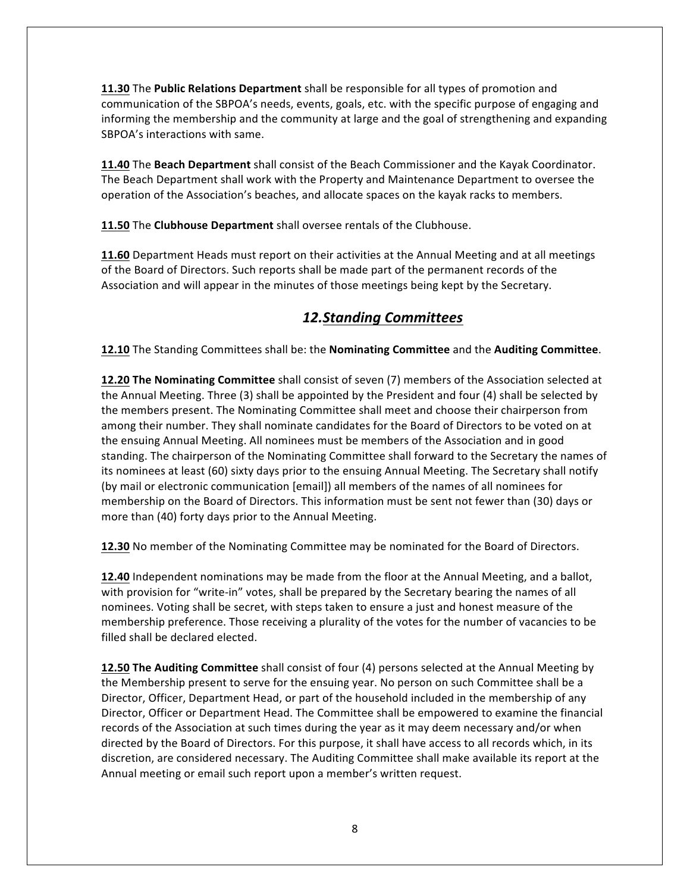**11.30** The **Public Relations Department** shall be responsible for all types of promotion and communication of the SBPOA's needs, events, goals, etc. with the specific purpose of engaging and informing the membership and the community at large and the goal of strengthening and expanding SBPOA's interactions with same.

**11.40** The Beach Department shall consist of the Beach Commissioner and the Kayak Coordinator. The Beach Department shall work with the Property and Maintenance Department to oversee the operation of the Association's beaches, and allocate spaces on the kayak racks to members.

**11.50** The **Clubhouse Department** shall oversee rentals of the Clubhouse.

**11.60** Department Heads must report on their activities at the Annual Meeting and at all meetings of the Board of Directors. Such reports shall be made part of the permanent records of the Association and will appear in the minutes of those meetings being kept by the Secretary.

## *12.Standing Committees*

**12.10** The Standing Committees shall be: the **Nominating Committee** and the **Auditing Committee**.

**12.20 The Nominating Committee** shall consist of seven (7) members of the Association selected at the Annual Meeting. Three (3) shall be appointed by the President and four (4) shall be selected by the members present. The Nominating Committee shall meet and choose their chairperson from among their number. They shall nominate candidates for the Board of Directors to be voted on at the ensuing Annual Meeting. All nominees must be members of the Association and in good standing. The chairperson of the Nominating Committee shall forward to the Secretary the names of its nominees at least (60) sixty days prior to the ensuing Annual Meeting. The Secretary shall notify (by mail or electronic communication [email]) all members of the names of all nominees for membership on the Board of Directors. This information must be sent not fewer than (30) days or more than (40) forty days prior to the Annual Meeting.

**12.30** No member of the Nominating Committee may be nominated for the Board of Directors.

**12.40** Independent nominations may be made from the floor at the Annual Meeting, and a ballot, with provision for "write-in" votes, shall be prepared by the Secretary bearing the names of all nominees. Voting shall be secret, with steps taken to ensure a just and honest measure of the membership preference. Those receiving a plurality of the votes for the number of vacancies to be filled shall be declared elected.

**12.50 The Auditing Committee** shall consist of four (4) persons selected at the Annual Meeting by the Membership present to serve for the ensuing year. No person on such Committee shall be a Director, Officer, Department Head, or part of the household included in the membership of any Director, Officer or Department Head. The Committee shall be empowered to examine the financial records of the Association at such times during the year as it may deem necessary and/or when directed by the Board of Directors. For this purpose, it shall have access to all records which, in its discretion, are considered necessary. The Auditing Committee shall make available its report at the Annual meeting or email such report upon a member's written request.